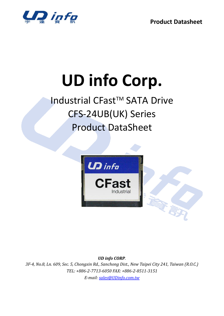

# **UD info Corp.**

## Industrial CFast<sup>™</sup> SATA Drive CFS-24UB(UK) Series Product DataSheet



*UD info CORP.* 

*3F-4, No.8, Ln. 609, Sec. 5, Chongxin Rd., Sanchong Dist., New Taipei City 241, Taiwan (R.O.C.) TEL: +886-2-7713-6050 FAX: +886-2-8511-3151 E-mail: [sales@UDinfo.com.tw](mailto:sales@UDinfo.com.tw)*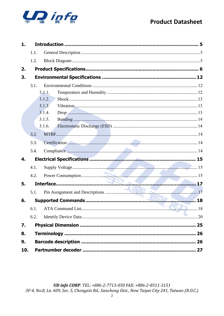

| 1.  |      |        |  |
|-----|------|--------|--|
|     | 1.1. |        |  |
|     | 1.2. |        |  |
| 2.  |      |        |  |
| 3.  |      |        |  |
|     | 3.1. |        |  |
|     |      | 3.1.1. |  |
|     |      | 3.1.2. |  |
|     |      | 3.1.3. |  |
|     |      | 3.1.4. |  |
|     |      | 3.1.5. |  |
|     |      | 3.1.6. |  |
|     | 3.2. |        |  |
|     | 3.3. |        |  |
|     | 3.4. |        |  |
| 4.  |      |        |  |
|     | 4.1. |        |  |
|     | 4.2. |        |  |
| 5.  |      |        |  |
|     | 5.1. |        |  |
| 6.  |      |        |  |
|     |      |        |  |
|     | 6.2. |        |  |
| 7.  |      |        |  |
| 8.  |      |        |  |
| 9.  |      |        |  |
| 10. |      |        |  |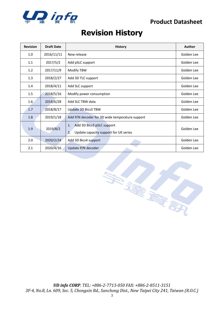

## **Revision History**

| <b>Revision</b> | <b>Draft Date</b> | <b>History</b>                                                                 | Author     |
|-----------------|-------------------|--------------------------------------------------------------------------------|------------|
| 1.0             | 2016/11/11        | New release                                                                    | Golden Lee |
| 1.1             | 2017/5/2          | Add pSLC support                                                               | Golden Lee |
| 1.2             | 2017/11/9         | Modify TBW                                                                     | Golden Lee |
| 1.3             | 2018/2/27         | Add 3D TLC support                                                             | Golden Lee |
| 1.4             | 2018/4/11         | Add SLC support                                                                | Golden Lee |
| 1.5             | 2018/5/16         | Modify power consumption                                                       | Golden Lee |
| 1.6             | 2018/6/28         | Add SLC TBW data                                                               | Golden Lee |
| 1.7             | 2018/8/17         | Update 3D Bics3 TBW                                                            | Golden Lee |
| 1.8             | 2019/1/18         | Add P/N decoder for 3D wide temperature support                                | Golden Lee |
| 1.9             | 2019/8/2          | Add 3D Bics3 pSLC support<br>1.<br>Update capacity support for UK series<br>2. | Golden Lee |
| 2.0             | 2020/2/24         | Add 3D Bics4 support                                                           | Golden Lee |
| 2.1             | 2020/4/16         | Update P/N decoder                                                             | Golden Lee |

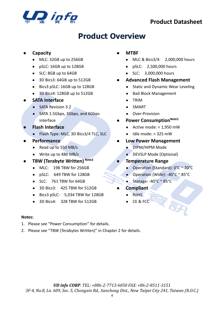

## **Product Overview**

#### ⚫ **Capacity**

- MLC: 32GB up to 256GB
- pSLC: 16GB up to 128GB
- SLC: 8GB up to 64GB
- 3D Bics3: 64GB up to 512GB
- Bics3 pSLC: 16GB up to 128GB
- 3D Bics4: 128GB up to 512GB

#### ⚫ **SATA Interface**

- SATA Revision 3.2
- SATA 1.5Gbps, 3Gbps, and 6Gbps interface
- ⚫ **Flash Interface**
	- Flash Type: MLC, 3D Bics3/4 TLC, SLC
- ⚫ **Performance**
	- Read up to 550 MB/s
	- Write up to 480 MB/s
- ⚫ **TBW (Terabyte Written) Note2**
	- MLC: 198 TBW for 256GB
	- pSLC: 649 TBW for 128GB
	- SLC: 761 TBW for 64GB
	- 3D Bics3: 425 TBW for 512GB
	- Bics3 pSLC: 5,034 TBW for 128GB
	- 3D Bics4: 328 TBW for 512GB

## ⚫ **MTBF**

- MLC & Bics3/4: 2,000,000 hours
- pSLC: 2,500,000 hours
- SLC: 3,000,000 hours
- ⚫ **Advanced Flash Management**
	- Static and Dynamic Wear Leveling
	- Bad Block Management
	- TRIM
	- SMART
	- Over-Provision
- ⚫ **Power ConsumptionNote1**
	- Active mode: < 1,950 mW
	- Idle mode: < 325 mW

#### ⚫ **Low Power Management**

- DIPM/HIPM Mode
- DEVSLP Mode (Optional)
- ⚫ **Temperature Range**
	- Operation (Standard): 0°C ~ 70°C
	- Operation (Wide): -40°C ~ 85°C
	- Storage:  $-40^{\circ}$ C ~ 85 $^{\circ}$ C
	- ⚫ **Compliant**
	- RoHS
		- CE & FCC

#### **Notes:**

- 1. Please see "Power Consumption" for details.
- 2. Please see "TBW (Terabytes Written)" in Chapter 2 for details.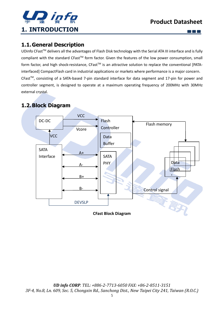

m m m

## <span id="page-4-1"></span><span id="page-4-0"></span>**1.1.General Description**

UDinfo CFast<sup>™</sup> delivers all the advantages of Flash Disk technology with the Serial ATA III interface and is fully compliant with the standard CFast<sup>™</sup> form factor. Given the features of the low power consumption, small form factor, and high shock-resistance, CFast<sup>™</sup> is an attractive solution to replace the conventional [PATAinterfaced] CompactFlash card in industrial applications or markets where performance is a major concern. CFastTM, consisting of a SATA-based 7-pin standard interface for data segment and 17-pin for power and controller segment, is designed to operate at a maximum operating frequency of 200MHz with 30MHz external crystal.

## <span id="page-4-2"></span>**1.2.Block Diagram**



**CFast Block Diagram**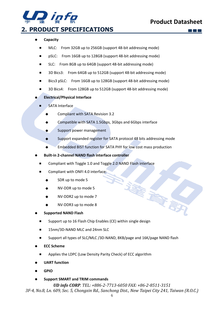

## <span id="page-5-0"></span>**2. PRODUCT SPECIFICATIONS**

#### ⚫ **Capacity**

- MLC: From 32GB up to 256GB (support 48-bit addressing mode)
- pSLC: From 16GB up to 128GB (support 48-bit addressing mode)
- SLC: From 8GB up to 64GB (support 48-bit addressing mode)
- 3D Bics3: From 64GB up to 512GB (support 48-bit addressing mode)
- Bics3 pSLC: From 16GB up to 128GB (support 48-bit addressing mode)
- 3D Bics4: From 128GB up to 512GB (support 48-bit addressing mode)

#### ⚫ **Electrical/Physical Interface**

- SATA Interface
	- Compliant with SATA Revision 3.2
	- Compatible with SATA 1.5Gbps, 3Gbps and 6Gbps interface
	- ◆ Support power management
	- Support expanded register for SATA protocol 48 bits addressing mode
	- Embedded BIST function for SATA PHY for low cost mass production
- ⚫ **Built-in 2-channel NAND flash interface controller**
	- Compliant with Toggle 1.0 and Toggle 2.0 NAND Flash interface
	- Compliant with ONFI 4.0 interface:
		- SDR up to mode 5
		- NV-DDR up to mode 5
		- NV-DDR2 up to mode 7
		- NV-DDR3 up to mode 8

#### ⚫ **Supported NAND Flash**

- Support up to 16 Flash Chip Enables (CE) within single design
- 15nm/3D-NAND MLC and 24nm SLC
- Support all types of SLC/MLC /3D-NAND, 8KB/page and 16K/page NAND flash
- ⚫ **ECC Scheme**
	- Applies the LDPC (Low Density Parity Check) of ECC algorithm
- ⚫ **UART function**
- ⚫ **GPIO**
- ⚫ **Support SMART and TRIM commands**

## *UD info CORP. TEL: +886-2-7713-6050 FAX: +86-2-8511-3151*

*3F-4, No.8, Ln. 609, Sec. 5, Chongxin Rd., Sanchong Dist., New Taipei City 241, Taiwan (R.O.C.)*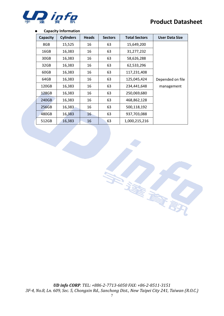

#### ⚫ **Capacity Information**

| Capacity | <b>Cylinders</b> | <b>Heads</b> | <b>Sectors</b> | <b>Total Sectors</b> | <b>User Data Size</b> |
|----------|------------------|--------------|----------------|----------------------|-----------------------|
| 8GB      | 15,525           | 16           | 63             | 15,649,200           |                       |
| 16GB     | 16,383           | 16           | 63             | 31,277,232           |                       |
| 30GB     | 16,383           | 16           | 63             | 58,626,288           |                       |
| 32GB     | 16,383           | 16           | 63             | 62,533,296           |                       |
| 60GB     | 16,383           | 16           | 63             | 117,231,408          |                       |
| 64GB     | 16,383           | 16           | 63             | 125,045,424          | Depended on file      |
| 120GB    | 16,383           | 16           | 63             | 234,441,648          | management            |
| 128GB    | 16,383           | 16           | 63             | 250,069,680          |                       |
| 240GB    | 16,383           | 16           | 63             | 468,862,128          |                       |
| 256GB    | 16,383           | 16           | 63             | 500,118,192          |                       |
| 480GB    | 16,383           | 16           | 63             | 937,703,088          |                       |
| 512GB    | 16,383           | 16           | 63             | 1,000,215,216        |                       |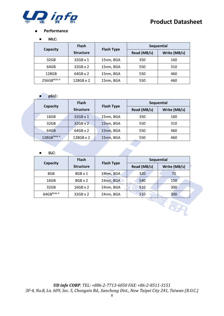

#### ⚫ **Performance**

#### ■ **MLC:**

|                         | <b>Flash</b>     |                   |             | <b>Sequential</b> |
|-------------------------|------------------|-------------------|-------------|-------------------|
| Capacity                | <b>Structure</b> | <b>Flash Type</b> | Read (MB/s) | Write (MB/s)      |
| 32GB                    | $32GB \times 1$  | 15nm, BGA         | 350         | 160               |
| 64GB                    | 32GB x 2         | 15nm, BGA         | 550         | 310               |
| 128GB                   | $64GB \times 2$  | 15nm, BGA         | 550         | 460               |
| 256GB <sup>Note 4</sup> | 128GB x 2        | 15nm, BGA         | 550         | 460               |

#### ■ **pSLC:**

|             | <b>Flash</b>     |                   |             | Sequential   |
|-------------|------------------|-------------------|-------------|--------------|
| Capacity    | <b>Structure</b> | <b>Flash Type</b> | Read (MB/s) | Write (MB/s) |
| 16GB        | 32GB x 1         | 15nm, BGA         | 350         | 160          |
| 32GB        | 32GB x 2         | 15nm, BGA         | 550         | 310          |
| 64GB        | $64GB \times 2$  | 15nm, BGA         | 550         | 460          |
| 128GBNote 4 | 128GB x 2        | 15nm, BGA         | 550         | 460          |

#### ■ **SLC:**

|                           | <b>Flash</b>     |                   |             | <b>Sequential</b> |
|---------------------------|------------------|-------------------|-------------|-------------------|
| Capacity                  | <b>Structure</b> | <b>Flash Type</b> | Read (MB/s) | Write (MB/s)      |
| 8GB                       | $8GB \times 1$   | 24nm, BGA         | 320         | 70                |
| 16GB                      | $8GB \times 2$   | 24nm, BGA         | 540         | 150               |
| 32GB                      | $16GB \times 2$  | 24nm, BGA         | 510         | 300               |
| $64$ GB <sup>Note 4</sup> | $32GB \times 2$  | 24nm, BGA         | 510         | 300               |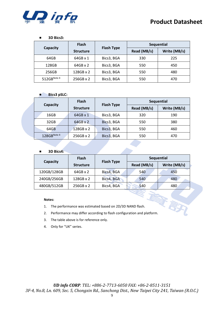

#### ■ **3D Bics3:**

|                         | <b>Flash</b>     |                   | Sequential  |              |
|-------------------------|------------------|-------------------|-------------|--------------|
| Capacity                | <b>Structure</b> | <b>Flash Type</b> | Read (MB/s) | Write (MB/s) |
| 64GB                    | $64GB \times 1$  | Bics3, BGA        | 330         | 225          |
| 128GB                   | $64GB \times 2$  | Bics3, BGA        | 550         | 450          |
| 256GB                   | $128GB \times 2$ | Bics3, BGA        | 550         | 480          |
| 512GB <sup>Note 4</sup> | $256GB \times 2$ | Bics3, BGA        | 550         | 470          |

#### ■ **Bics3 pSLC:**

|             | <b>Flash</b>     |                   |             | Sequential   |
|-------------|------------------|-------------------|-------------|--------------|
| Capacity    | <b>Structure</b> | <b>Flash Type</b> | Read (MB/s) | Write (MB/s) |
| 16GB        | $64GB \times 1$  | Bics3, BGA        | 320         | 190          |
| 32GB        | $64GB \times 2$  | Bics3, BGA        | 550         | 380          |
| 64GB        | $128GB \times 2$ | Bics3, BGA        | 550         | 460          |
| 128GBNote 4 | $256GB \times 2$ | Bics3, BGA        | 550         | 470          |

#### ■ **3D Bics4:**

|             | <b>Flash</b>     |                   |             | Sequential   |
|-------------|------------------|-------------------|-------------|--------------|
| Capacity    | <b>Structure</b> | <b>Flash Type</b> | Read (MB/s) | Write (MB/s) |
| 120GB/128GB | $64GB \times 2$  | Bics4, BGA        | 540         | 450          |
| 240GB/256GB | 128GB x 2        | Bics4, BGA        | 540         | 480          |
| 480GB/512GB | 256GB x 2        | Bics4, BGA        | 540         | 480          |

#### **Notes:**

- 1. The performance was estimated based on 2D/3D NAND flash.
- 2. Performance may differ according to flash configuration and platform.
- 3. The table above is for reference only.
- 4. Only for "UK" series.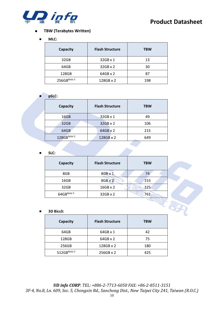

#### ⚫ **TBW (Terabytes Written)**

#### ■ **MLC:**

| Capacity    | <b>Flash Structure</b> | <b>TBW</b> |
|-------------|------------------------|------------|
| 32GB        | $32GB \times 1$        | 13         |
| 64GB        | $32GB \times 2$        | 30         |
| 128GB       | $64GB \times 2$        | 87         |
| 256GBNote 5 | 128GB x 2              | 198        |

#### ■ **pSLC:**

| Capacity    | <b>Flash Structure</b> | <b>TBW</b> |
|-------------|------------------------|------------|
| 16GB        | 32GB x 1               | 49         |
| 32GB        | 32GB x 2               | 106        |
| 64GB        | 64GB x 2               | 215        |
| 128GBNote 5 | 128GB x 2              | 649        |

#### ■ **SLC:**

| Capacity               | <b>Flash Structure</b> | <b>TBW</b> |
|------------------------|------------------------|------------|
| 8GB                    | 8GB x 1                | 74         |
| 16GB                   | $8GB \times 2$         | 153        |
| 32GB                   | $16GB \times 2$        | 325        |
| 64GB <sup>Note 5</sup> | 32GB x 2               | 761        |

#### ■ **3D Bics3:**

| Capacity                | <b>Flash Structure</b> | <b>TBW</b> |
|-------------------------|------------------------|------------|
| 64GB                    | $64GB \times 1$        | 42         |
| 128GB                   | $64GB \times 2$        | 75         |
| 256GB                   | 128GB x 2              | 180        |
| 512GB <sup>Note 5</sup> | 256GB x 2              | 425        |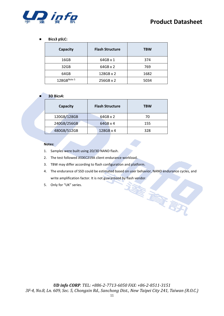

#### ■ **Bics3 pSLC:**

| Capacity    | <b>Flash Structure</b> | <b>TBW</b> |
|-------------|------------------------|------------|
| 16GB        | $64GB \times 1$        | 374        |
| 32GB        | $64GB \times 2$        | 769        |
| 64GB        | 128GB x 2              | 1682       |
| 128GBNote 5 | 256GB x 2              | 5034       |

#### ■ **3D Bics4:**

| Capacity    | <b>Flash Structure</b> | <b>TBW</b> |
|-------------|------------------------|------------|
| 120GB/128GB | $64GB \times 2$        | 70         |
| 240GB/256GB | $64GB \times 4$        | 155        |
| 480GB/512GB | 128GB x 4              | 328        |

#### **Notes:**

- 1. Samples were built using 2D/3D NAND flash.
- 2. The test followed JEDEC219A client endurance workload.
- 3. TBW may differ according to flash configuration and platform.
- 4. The endurance of SSD could be estimated based on user behavior, NAND endurance cycles, and write amplification factor. It is not guaranteed by flash vendor.

医家群

5. Only for "UK" series.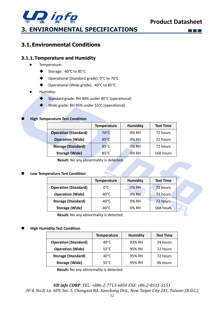

## <span id="page-11-1"></span><span id="page-11-0"></span>**3.1.Environmental Conditions**

#### <span id="page-11-2"></span>**3.1.1.Temperature and Humidity**

- ⚫ Temperature:
	- ◆ Storage: -40°C to 85°C
	- ◆ Operational (Standard grade): 0°C to 70°C
	- Operational (Wide grade): -40°C to 85°C

#### ⚫ Humidity:

- ◆ Standard grade: RH 90% under 40°C (operational)
- ◆ Wide grade: RH 95% under 55°C (operational)

#### **High Temperature Test Condition**

|                             | <b>Temperature</b> | <b>Humidity</b> | <b>Test Time</b> |
|-----------------------------|--------------------|-----------------|------------------|
| <b>Operation (Standard)</b> | $70^{\circ}$ C     | 0% RH           | 72 hours         |
| <b>Operation (Wide)</b>     | $85^{\circ}$ C     | 0% RH           | 72 hours         |
| <b>Storage (Standard)</b>   | $85^{\circ}$ C     | 0% RH           | 72 hours         |
| <b>Storage (Wide)</b>       | $85^{\circ}$ C     | 0% RH           | 168 hours        |

**Result:** No any abnormality is detected.

#### ◼ **Low Temperature Test Condition**

|                             | <b>Temperature</b> | <b>Humidity</b> | <b>Test Time</b> |  |
|-----------------------------|--------------------|-----------------|------------------|--|
| <b>Operation (Standard)</b> | 0°C                | 0% RH           | 72 hours         |  |
| <b>Operation (Wide)</b>     | -40°C              | 0% RH           | 72 hours         |  |
| <b>Storage (Standard)</b>   | -40°C              | 0% RH           | 72 hours         |  |
| <b>Storage (Wide)</b>       | -40°C              | 0% RH           | 168 hours        |  |

**Result:** No any abnormality is detected.

#### **High Humidity Test Condition**

|                             | <b>Temperature</b> | <b>Humidity</b> | <b>Test Time</b> |
|-----------------------------|--------------------|-----------------|------------------|
| <b>Operation (Standard)</b> | $40^{\circ}$ C     | 93% RH          | 24 hours         |
| <b>Operation (Wide)</b>     | $55^{\circ}$ C     | 95% RH          | 72 hours         |
| <b>Storage (Standard)</b>   | $40^{\circ}$ C     | 95% RH          | 72 hours         |
| Storage (Wide)              | $55^{\circ}$ C     | 95% RH          | 96 hours         |

**Result:** No any abnormality is detected.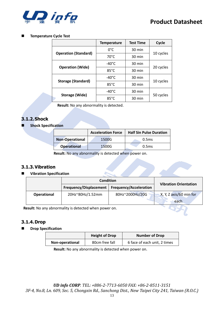

#### ◼ **Temperature Cycle Test**

|                             | <b>Temperature</b> | <b>Test Time</b> | Cycle     |  |
|-----------------------------|--------------------|------------------|-----------|--|
|                             | 0°C                | 30 min           |           |  |
| <b>Operation (Standard)</b> | $70^{\circ}$ C     | 30 min           | 10 cycles |  |
|                             | -40°C              | 30 min           |           |  |
| <b>Operation (Wide)</b>     | $85^{\circ}$ C     | 30 min           | 20 cycles |  |
|                             | $-40^{\circ}$ C    | 30 min           |           |  |
| <b>Storage (Standard)</b>   | $85^{\circ}$ C     | 30 min           | 10 cycles |  |
| Storage (Wide)              | -40°C              | 30 min           |           |  |
|                             | $85^{\circ}$ C     | 30 min           | 50 cycles |  |

**Result:** No any abnormality is detected.

#### <span id="page-12-0"></span>**3.1.2.Shock**

**Shock Specification** 

|                        | <b>Acceleration Force</b> | <b>Half Sin Pulse Duration</b> |
|------------------------|---------------------------|--------------------------------|
| <b>Non-Operational</b> | 1500G                     | 0.5 <sub>ms</sub>              |
| <b>Operational</b>     | 1500G                     | 0.5 <sub>ms</sub>              |

**Result:** No any abnormality is detected when power on.

#### <span id="page-12-1"></span>**3.1.3.Vibration**

#### ■ **Vibration Specification**

|                    | <b>Condition</b>       |                               | <b>Vibration Orientation</b> |  |
|--------------------|------------------------|-------------------------------|------------------------------|--|
|                    | Frequency/Displacement | <b>Frequency/Acceleration</b> |                              |  |
| <b>Operational</b> | 20Hz~80Hz/1.52mm       | 80Hz~2000Hz/20G               | X, Y, Z axis/60 min for      |  |
|                    |                        |                               | each                         |  |

**Result:** No any abnormality is detected when power on.

#### <span id="page-12-2"></span>**3.1.4.Drop**

#### ◼ **Drop Specification**

|                 | <b>Height of Drop</b> | <b>Number of Drop</b>        |  |
|-----------------|-----------------------|------------------------------|--|
| Non-operational | 80cm free fall        | 6 face of each unit, 2 times |  |

**Result:** No any abnormality is detected when power on.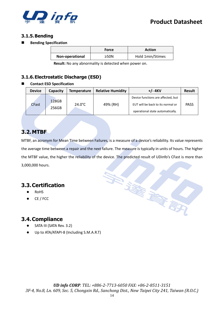

#### <span id="page-13-0"></span>**3.1.5.Bending**

■ **Bending Specification** 

|                 | Force | <b>Action</b>    |
|-----------------|-------|------------------|
| Non-operational | ≥50N  | Hold 1min/5times |

**Result:** No any abnormality is detected when power on.

#### <span id="page-13-1"></span>**3.1.6.Electrostatic Discharge (ESD)**

#### ■ **Contact ESD Specification**

| <b>Device</b> | Capacity | <b>Temperature</b> | <b>Relative Humidity</b> | $+/- 4$ KV                                                            | <b>Result</b> |
|---------------|----------|--------------------|--------------------------|-----------------------------------------------------------------------|---------------|
|               | 128GB    |                    |                          | Device functions are affected, but                                    |               |
| <b>CFast</b>  | 256GB    | $24.0^{\circ}$ C   | 49% (RH)                 | EUT will be back to its normal or<br>operational state automatically. | <b>PASS</b>   |

## <span id="page-13-2"></span>**3.2.MTBF**

MTBF, an acronym for Mean Time between Failures, is a measure of a device's reliability. Its value represents the average time between a repair and the next failure. The measure is typically in units of hours. The higher the MTBF value, the higher the reliability of the device. The predicted result of UDinfo's CFast is more than 3,000,000 hours.

## <span id="page-13-3"></span>**3.3.Certification**

- ⚫ RoHS
- ⚫ CE / FCC

## <span id="page-13-4"></span>**3.4.Compliance**

- SATA III (SATA Rev. 3.2)
- ⚫ Up to ATA/ATAPI-8 (Including S.M.A.R.T)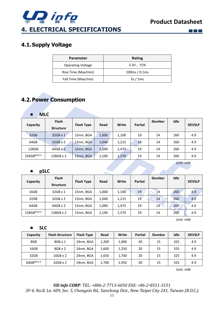

**Allen** 

 $\Box$   $\Box$   $\Box$ 

## <span id="page-14-1"></span><span id="page-14-0"></span>**4.1.Supply Voltage**

| <b>Parameter</b>         | Rating          |
|--------------------------|-----------------|
| <b>Operating Voltage</b> | $3.3V, \pm 5\%$ |
| Rise Time (Max/min)      | 100ms/0.1ms     |
| Fall Time (Max/min)      | 5s/1ms          |

## <span id="page-14-2"></span>**4.2.Power Consumption**

| <b>MLC</b><br>п |                                  |                   |       |       |                |         |          |               |
|-----------------|----------------------------------|-------------------|-------|-------|----------------|---------|----------|---------------|
| Capacity        | <b>Flash</b><br><b>Structure</b> | <b>Flash Type</b> | Read  | Write | <b>Partial</b> | Slumber | Idle     | <b>DEVSLP</b> |
| 32GB            | $32GB \times 1$                  | 15nm, BGA         | 1,000 | 1,100 | 19             | 14      | 260      | 4.9           |
| 64GB            | 32GB x 2                         | 15nm, BGA         | 1,040 | 1,215 | 19             | 14      | 260      | 4.9           |
| 128GB           | $64GB \times 2$                  | 15nm, BGA         | 1,090 | 1,475 | 19             | 14      | 260      | 4.9           |
| 256GBNote 6     | 128GB x 2                        | 15nm, BGA         | 1,190 | 1,570 | 19             | 14      | 260      | 4.9           |
|                 |                                  |                   |       |       |                |         | Unit: mW |               |
| pSLC<br>п       |                                  |                   |       |       |                |         |          |               |

| Capacity    | <b>Flash</b><br><b>Structure</b> | <b>Flash Type</b> | Read  | Write | <b>Partial</b> | Slumber | Idle | <b>DEVSLP</b> |
|-------------|----------------------------------|-------------------|-------|-------|----------------|---------|------|---------------|
| 16GB        | 32GB x 1                         | 15nm, BGA         | 1,000 | 1,100 | 19             | 14      | 260  | 4.9           |
| 32GB        | $32GB \times 2$                  | 15nm, BGA         | 1,040 | 1,215 | 19             | 14      | 260  | 4.9           |
| 64GB        | 64GB x 2                         | 15nm, BGA         | 1,090 | 1,475 | 19             | 14      | 260  | 4.9           |
| 128GBNote 6 | 128GB x 2                        | 15nm, BGA         | 1,190 | 1,570 | 19             | 14      | 260  | 4.9           |

Unit: mW

■ **SLC**

| Capacity   | <b>Flash Structure</b> | <b>Flash Type</b> | Read  | Write | <b>Partial</b> | <b>Slumber</b> | Idle | <b>DEVSLP</b> |
|------------|------------------------|-------------------|-------|-------|----------------|----------------|------|---------------|
| 8GB        | $8GB \times 1$         | 24nm, BGA         | 1,200 | 1,000 | 20             | 15             | 325  | 4.9           |
| 16GB       | $8GB \times 2$         | 24nm, BGA         | 1,600 | 1,250 | 20             | 15             | 325  | 4.9           |
| 32GB       | $16GB \times 2$        | 24nm, BGA         | 1,650 | 1,700 | 20             | 15             | 325  | 4.9           |
| 64GBNote 6 | 32GB x 2               | 24nm, BGA         | 1,700 | 1,950 | 20             | 15             | 325  | 4.9           |

Unit: mW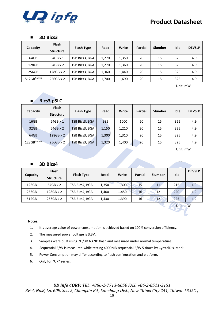

#### ■ **3D Bics3**

| Capacity    | <b>Flash</b><br><b>Structure</b> | <b>Flash Type</b> | Read  | Write | <b>Partial</b> | Slumber | Idle | <b>DEVSLP</b> |
|-------------|----------------------------------|-------------------|-------|-------|----------------|---------|------|---------------|
| 64GB        | 64GB x 1                         | TSB Bics3, BGA    | 1,270 | 1,350 | 20             | 15      | 325  | 4.9           |
| 128GB       | $64GB \times 2$                  | TSB Bics3, BGA    | 1,270 | 1,360 | 20             | 15      | 325  | 4.9           |
| 256GB       | 128GB x 2                        | TSB Bics3, BGA    | 1,360 | 1,440 | 20             | 15      | 325  | 4.9           |
| 512GBNote 6 | 256GB x 2                        | TSB Bics3, BGA    | 1,700 | 1,690 | 20             | 15      | 325  | 4.9           |

Unit: mW

### ■ **Bics3 pSLC**

| Capacity         | <b>Flash</b><br><b>Structure</b> | <b>Flash Type</b>     | Read  | Write | <b>Partial</b> | <b>Slumber</b> | Idle | <b>DEVSLP</b> |
|------------------|----------------------------------|-----------------------|-------|-------|----------------|----------------|------|---------------|
| 16GB             | 64GB x 1                         | TSB Bics3, BGA        | 985   | 1000  | 20             | 15             | 325  | 4.9           |
| 32 <sub>GB</sub> | $64GB \times 2$                  | <b>TSB Bics3, BGA</b> | 1,150 | 1,210 | 20             | 15             | 325  | 4.9           |
| 64GB             | 128GB x 2                        | TSB Bics3, BGA        | 1,300 | 1,310 | 20             | 15             | 325  | 4.9           |
| 128GBNote 6      | 256GB x 2                        | TSB Bics3, BGA        | 1,320 | 1,400 | 20             | 15             | 325  | 4.9           |

Unit: mW

#### ■ **3D Bics4**

| Capacity | <b>Flash</b><br><b>Structure</b> | <b>Flash Type</b> | Read  | Write | <b>Partial</b> | Slumber         | Idle | <b>DEVSLP</b> |
|----------|----------------------------------|-------------------|-------|-------|----------------|-----------------|------|---------------|
| 128GB    | $64GB \times 2$                  | TSB Bics4, BGA    | 1,350 | 1,300 | 15             | 11              | 215  | 4.9           |
| 256GB    | 128GB x 2                        | TSB Bics4, BGA    | 1,400 | 1,450 | 16             | 12              | 220  | 4.9           |
| 512GB    | 256GB x 2                        | TSB Bics4, BGA    | 1.430 | 1,390 | 16             | 12 <sup>°</sup> | 225  | 4.9           |

**Contract Contract Contract Contract Contract** 

Unit: mW

#### **Notes:**

- 1. It's average value of power consumption is achieved based on 100% conversion efficiency.
- 2. The measured power voltage is 3.3V.
- 3. Samples were built using 2D/3D NAND flash and measured under normal temperature.
- 4. Sequential R/W is measured while testing 4000MB sequential R/W 5 times by CyrstalDiskMark.
- 5. Power Consumption may differ according to flash configuration and platform.
- 6. Only for "UK" series.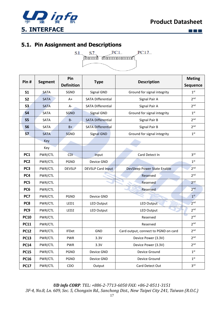



**EN** 

## <span id="page-16-1"></span><span id="page-16-0"></span>**5.1. Pin Assignment and Descriptions**



| Pin#            | <b>Segment</b> | Pin               |                          | <b>Description</b><br><b>Type</b>    |                 |
|-----------------|----------------|-------------------|--------------------------|--------------------------------------|-----------------|
|                 |                | <b>Definition</b> |                          |                                      | Sequence        |
| S <sub>1</sub>  | <b>SATA</b>    | SGND              | Signal GND               | Ground for signal integrity          | 1 <sup>st</sup> |
| <b>S2</b>       | <b>SATA</b>    | $A+$              | <b>SATA Differential</b> | Signal Pair A                        | 2 <sup>nd</sup> |
| S3              | <b>SATA</b>    | A-                | <b>SATA Differential</b> | Signal Pair A                        | 2 <sub>nd</sub> |
| <b>S4</b>       | <b>SATA</b>    | <b>SGND</b>       | <b>Signal GND</b>        | Ground for signal integrity          | 1 <sup>st</sup> |
| <b>S5</b>       | SATA           | <b>B-</b>         | <b>SATA Differential</b> | Signal Pair B                        | 2 <sup>nd</sup> |
| S6              | <b>SATA</b>    | $B+$              | <b>SATA Differential</b> | Signal Pair B                        | 2 <sup>nd</sup> |
| <b>S7</b>       | <b>SATA</b>    | <b>SGND</b>       | Signal GND               | Ground for signal integrity          | 1 <sup>st</sup> |
|                 | Key            |                   |                          |                                      |                 |
|                 | Key            |                   |                          |                                      |                 |
| PC1             | PWR/CTL        | CDI.              | Input                    | Card Detect In                       | 3 <sup>rd</sup> |
| PC <sub>2</sub> | PWR/CTL        | <b>PGND</b>       | Device GND               |                                      | 1 <sup>st</sup> |
| PC <sub>3</sub> | PWR/CTL        | <b>DEVSLP</b>     | <b>DEVSLP Card Input</b> | DevSleep Power State Enable          | 2 <sub>nd</sub> |
| PC4             | PWR/CTL        |                   |                          | Reserved                             | 2 <sub>nd</sub> |
| PC5             | PWR/CTL        |                   |                          | Reserved                             | 2 <sub>nd</sub> |
| PC <sub>6</sub> | PWR/CTL        |                   |                          | Reserved                             | 2 <sub>nd</sub> |
| PC7             | PWR/CTL        | <b>PGND</b>       | Device GND               |                                      | 1 <sup>st</sup> |
| PC8             | PWR/CTL        | LED1              | LED Output               | <b>LED Output</b>                    | 2 <sub>nd</sub> |
| PC <sub>9</sub> | PWR/CTL        | LED <sub>2</sub>  | LED Output               | LED Output                           | 2 <sup>nd</sup> |
| <b>PC10</b>     | PWR/CTL        |                   |                          | Reserved                             | 2 <sup>nd</sup> |
| <b>PC11</b>     | PWR/CTL        |                   |                          | Reserved                             | 2 <sub>nd</sub> |
| <b>PC12</b>     | PWR/CTL        | <b>IFDet</b>      | <b>GND</b>               | Card output, connect to PGND on card | 2 <sub>nd</sub> |
| <b>PC13</b>     | PWR/CTL        | <b>PWR</b>        | 3.3V                     | Device Power (3.3V)                  | 2 <sup>nd</sup> |
| <b>PC14</b>     | PWR/CTL        | <b>PWR</b>        | 3.3V                     | Device Power (3.3V)                  | 2 <sub>nd</sub> |
| <b>PC15</b>     | PWR/CTL        | <b>PGND</b>       | Device GND               | Device Ground                        | 1 <sup>st</sup> |
| <b>PC16</b>     | PWR/CTL        | PGND              | Device GND               | Device Ground                        | 1 <sup>st</sup> |
| <b>PC17</b>     | PWR/CTL        | CDO               | Output                   | Card Detect Out                      | 3 <sup>rd</sup> |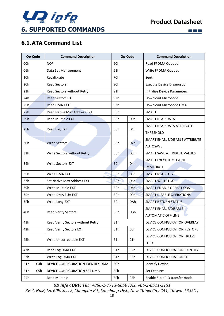

 $\square$   $\square$   $\square$ 

## <span id="page-17-1"></span><span id="page-17-0"></span>**6.1.ATA Command List**

| <b>Op-Code</b> |     | <b>Command Description</b>         |                  | Op-Code          | <b>Command Description</b>       |  |
|----------------|-----|------------------------------------|------------------|------------------|----------------------------------|--|
| 00h            |     | <b>NOP</b>                         | 60h              |                  | Read FPDMA Queued                |  |
| 06h            |     | Data Set Management                | 61h              |                  | Write FPDMA Queued               |  |
| 10h            |     | Recalibrate                        | 70h              |                  | Seek                             |  |
| 20h            |     | <b>Read Sectors</b>                | 90h              |                  | <b>Execute Device Diagnostic</b> |  |
| 21h            |     | Read Sectors without Retry         | 91h              |                  | Initialize Device Parameters     |  |
| 24h            |     | <b>Read Sectors EXT</b>            | 92h              |                  | Download Microcode               |  |
| 25h            |     | Read DMA EXT                       | 93h              |                  | Download Microcode DMA           |  |
| 27h            |     | <b>Read Native Max Address EXT</b> | <b>BOh</b>       |                  | SMART                            |  |
| 29h            |     | Read Multiple EXT                  | <b>BOh</b>       | D <sub>0</sub> h | <b>SMART READ DATA</b>           |  |
|                |     |                                    |                  |                  | SMART READ DATA ATTRIBUTE        |  |
| 2Fh            |     | Read Log EXT                       | B <sub>O</sub> h | D <sub>1</sub> h | THRESHOLD                        |  |
| 30h            |     | <b>Write Sectors</b>               | <b>BOh</b>       | D <sub>2</sub> h | SMART ENABLE/DISABLE ATTRIBUTE   |  |
|                |     |                                    |                  |                  | <b>AUTOSAVE</b>                  |  |
| 31h            |     | Write Sectors without Retry        | B <sub>Oh</sub>  | D <sub>3</sub> h | SMART SAVE ATTRIBUTE VALUES      |  |
| 34h            |     | <b>Write Sectors EXT</b>           | B <sub>O</sub> h | D <sub>4</sub> h | <b>SMART EXECUTE OFF-LINE</b>    |  |
|                |     |                                    |                  |                  | <b>IMMEDIATE</b>                 |  |
| 35h            |     | Write DMA EXT                      | <b>BOh</b>       | D <sub>5</sub> h | <b>SMART READ LOG</b>            |  |
| 37h            |     | Set Native Max Address EXT         | <b>BOh</b>       | D <sub>6</sub> h | <b>SMART WRITE LOG</b>           |  |
| 39h            |     | Write Multiple EXT                 | B <sub>O</sub> h | D <sub>8</sub> h | <b>SMART ENABLE OPERATIONS</b>   |  |
| 3Dh            |     | Write DMA FUA EXT                  | B <sub>O</sub> h | D9h              | <b>SMART DISABLE OPERATIONS</b>  |  |
| 3Fh            |     | Write Long EXT                     | B <sub>O</sub> h | <b>DAh</b>       | <b>SMART RETURN STATUS</b>       |  |
| 40h            |     | <b>Read Verify Sectors</b>         | <b>BOh</b>       | <b>DBh</b>       | SMART ENABLE/DISABLE             |  |
|                |     |                                    |                  |                  | <b>AUTOMATIC OFF-LINE</b>        |  |
| 41h            |     | Read Verify Sectors without Retry  | B1h              |                  | DEVICE CONFIGURATION OVERLAY     |  |
| 42h            |     | Read Verify Sectors EXT            | B1h              | COh              | DEVICE CONFIGURATION RESTORE     |  |
| 45h            |     | Write Uncorrectable EXT            | B1h              | C1h              | DEVICE CONFIGURATION FREEZE      |  |
|                |     |                                    |                  |                  | LOCK                             |  |
| 47h            |     | Read Log DMA EXT                   | B1h              | C2h              | DEVICE CONFIGURATION IDENTIFY    |  |
| 57h            |     | Write Log DMA EXT                  | B1h              | C <sub>3</sub> h | DEVICE CONFIGURATION SET         |  |
| B1h            | C4h | DEVICE CONFIGURATION IDENTIFY DMA  | ECh              |                  | <b>Identify Device</b>           |  |
| B1h            | C5h | DEVICE CONFIGURATION SET DMA       | EFh              |                  | Set Features                     |  |
| C4h            |     | <b>Read Multiple</b>               | EFh              | 02h              | Enable 8-bit PIO transfer mode   |  |

*UD info CORP. TEL: +886-2-7713-6050 FAX: +86-2-8511-3151*

*3F-4, No.8, Ln. 609, Sec. 5, Chongxin Rd., Sanchong Dist., New Taipei City 241, Taiwan (R.O.C.)*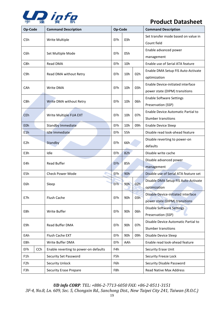

| Op-Code          |            | <b>Command Description</b>            | Op-Code         |                 |     | <b>Command Description</b>                                           |
|------------------|------------|---------------------------------------|-----------------|-----------------|-----|----------------------------------------------------------------------|
| C5h              |            | Write Multiple                        | EFh             | 03h             |     | Set transfer mode based on value in<br>Count field                   |
| C6h              |            | Set Multiple Mode                     | EFh             | 05h             |     | Enable advanced power<br>management                                  |
| C8h              |            | Read DMA                              | <b>EFh</b>      | 10h             |     | Enable use of Serial ATA feature                                     |
| C9h              |            | Read DMA without Retry                | EFh             | 10h             | 02h | Enable DMA Setup FIS Auto-Activate<br>optimization                   |
| CAh              |            | Write DMA                             | EFh             | 10 <sub>h</sub> | 03h | Enable Device-initiated interface<br>power state (DIPM) transitions  |
| CBh              |            | Write DMA without Retry               | EFh             | 10h             | 06h | <b>Enable Software Settings</b><br>Preservation (SSP)                |
| <b>CEh</b>       |            | Write Multiple FUA EXT                | EFh             | 10 <sub>h</sub> | 07h | Enable Device Automatic Partial to<br>Slumber transitions            |
| E <sub>O</sub> h |            | <b>Standby Immediate</b>              | <b>EFh</b>      | 10h<br>09h      |     | <b>Enable Device Sleep</b>                                           |
| E1h              |            | <b>Idle Immediate</b>                 | EFh             | 55h             |     | Disable read look-ahead feature                                      |
| E <sub>2</sub> h |            | Standby                               | EFh             | 66h             |     | Disable reverting to power-on<br>defaults                            |
| E3h              |            | Idle                                  | EFh             | 82h             |     | Disable write cache                                                  |
| E4h              |            | Read Buffer                           | EF <sub>h</sub> | 85h             |     | Disable advanced power<br>management                                 |
| E5h              |            | <b>Check Power Mode</b>               | EFh             | 90h             |     | Disable use of Serial ATA feature set                                |
| E6h              |            | Sleep                                 | EFh             | 90h             | 02h | Disable DMA Setup FIS Auto-Activate<br>optimization                  |
| E7h              |            | Flush Cache                           | EFh             | 90h             | 03h | Disable Device-initiated interface<br>power state (DIPM) transitions |
| E8h              |            | Write Buffer                          | EFh             | 90h             | 06h | <b>Disable Software Settings</b><br>Preservation (SSP)               |
| E9h              |            | Read Buffer DMA                       | EFh             | 90h             | 07h | Disable Device Automatic Partial to<br>Slumber transitions           |
| EAh              |            | Flush Cache EXT                       |                 | 90h             | 09h | Disable Device Sleep                                                 |
| EBh              |            | Write Buffer DMA                      | EFh             | AAh             |     | Enable read look-ahead feature                                       |
| EFh              | <b>CCh</b> | Enable reverting to power-on defaults | F4h             |                 |     | Security Erase Unit                                                  |
| F1h              |            | Security Set Password                 | F5h             |                 |     | Security Freeze Lock                                                 |
| F <sub>2</sub> h |            | <b>Security Unlock</b>                | F6h             |                 |     | Security Disable Password                                            |
| F3h              |            | <b>Security Erase Prepare</b>         | F8h             |                 |     | Read Native Max Address                                              |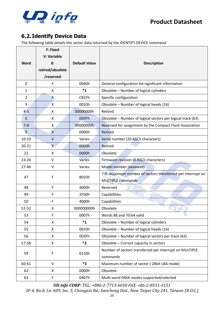

## <span id="page-19-0"></span>**6.2.Identify Device Data**

The following table details the sector data returned by the IDENTIFY DEVICE command.

|                | <b>F: Fixed</b><br>V: Variable |                      |                                                             |
|----------------|--------------------------------|----------------------|-------------------------------------------------------------|
| <b>Word</b>    | Х:                             | <b>Default Value</b> | <b>Description</b>                                          |
|                | retired/obsolete               |                      |                                                             |
|                | /reserved                      |                      |                                                             |
| $\mathbf 0$    | F                              | 0040h                | General configuration bit-significant information           |
| $\mathbf{1}$   | X                              | $^*1$                | Obsolete - Number of logical cylinders                      |
| $\overline{2}$ | F,                             | C837h                | Specific configuration                                      |
| 3              | X                              | 0010h                | Obsolete - Number of logical heads (16)                     |
| $4 - 5$        | X                              | 00000000h            | Retired                                                     |
| 6              | Χ                              | 003Fh                | Obsolete - Number of logical sectors per logical track (63) |
| $7 - 8$        | Χ                              | 00000000h            | Reserved for assignment by the Compact Flash Association    |
| 9              | $\mathsf{\chi}$                | 0000h                | Retired                                                     |
| $10 - 19$      | $\mathsf{V}$                   | Varies               | Serial number (20 ASCII characters)                         |
| $20 - 21$      | $X -$                          | 0000h                | Retired                                                     |
| 22             | X                              | 0000h                | Obsolete                                                    |
| $23 - 26$      | V                              | <b>Varies</b>        | Firmware revision (8 ASCII characters)                      |
| $27 - 46$      | V                              | Varies               | Model number (xxxxxxxx)                                     |
| 47             | F                              | 8010h                | 7:0- Maximum number of sectors transferred per interrupt on |
|                |                                |                      | <b>MULTIPLE commands</b>                                    |
| 48             | F                              | 4000h                | Reserved                                                    |
| 49             | F                              | 2F00h                | Capabilities                                                |
| 50             | F                              | 4000h                | Capabilities                                                |
| $51 - 52$      | Χ                              | 000000000h           | Obsolete                                                    |
| 53             | F                              | 0007h                | Words 88 and 70:64 valid                                    |
| 54             | X                              | $*_{1}$              | Obsolete - Number of logical cylinders                      |
| 55             | X                              | 0010h                | Obsolete - Number of logical heads (16)                     |
| 56             | X                              | 003Fh                | Obsolete - Number of logical sectors per track (63)         |
| 57-58          | X                              | $*2$                 | Obsolete - Current capacity in sectors                      |
| 59             | $\mathsf F$                    | 0110h                | Number of sectors transferred per interrupt on MULTIPLE     |
|                |                                |                      | commands                                                    |
| 60-61          | V                              | *3                   | Maximum number of sector (28bit LBA mode)                   |
| 62             | X                              | 0000h                | Obsolete                                                    |
| 63             | F                              | 0407h                | Multi-word DMA modes supported/selected                     |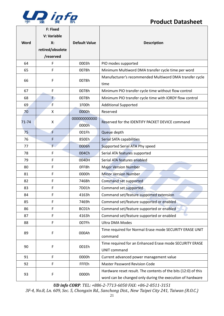

٦

|             | F: Fixed         |                      |                                                                                                                             |
|-------------|------------------|----------------------|-----------------------------------------------------------------------------------------------------------------------------|
|             | V: Variable      |                      |                                                                                                                             |
| <b>Word</b> | Х:               | <b>Default Value</b> | <b>Description</b>                                                                                                          |
|             | retired/obsolete |                      |                                                                                                                             |
|             | /reserved        |                      |                                                                                                                             |
| 64          | F                | 0003h                | PIO modes supported                                                                                                         |
| 65          | F                | 0078h                | Minimum Multiword DMA transfer cycle time per word                                                                          |
| 66          | F                | 0078h                | Manufacturer's recommended Multiword DMA transfer cycle<br>time                                                             |
| 67          | F                | 0078h                | Minimum PIO transfer cycle time without flow control                                                                        |
| 68          | F)               | 0078h                | Minimum PIO transfer cycle time with IORDY flow control                                                                     |
| 69          | F                | 1F00h                | <b>Additional Supported</b>                                                                                                 |
| 70          | X                | 0000h                | Reserved                                                                                                                    |
| 71-74       |                  | 000000000000         | Reserved for the IDENTIFY PACKET DEVICE command                                                                             |
|             | X<br>0000h       |                      |                                                                                                                             |
| 75          | F                | 001Fh                | Queue depth                                                                                                                 |
| 76          | F                | 850Eh                | Serial SATA capabilities                                                                                                    |
| 77          | F.               | 0006h                | Supported Serial ATA Phy speed                                                                                              |
| 78          | F                | 004Ch                | Serial ATA features supported                                                                                               |
| 79          | F                | 0040H                | Serial ATA features enabled                                                                                                 |
| 80          | F                | OFF8h                | <b>Major Version Number</b>                                                                                                 |
| 81          | F                | 0000h                | <b>Minor Version Number</b>                                                                                                 |
| 82          | F                | 746Bh                | Command set supported                                                                                                       |
| 83          | F                | 7D01h                | Command set supported                                                                                                       |
| 84          | F                | 4163h                | Command set/feature supported extension                                                                                     |
| 85          | F                | 7469h                | Command set/feature supported or enabled                                                                                    |
| 86          | F                | BC01h                | Command set/feature supported or enabled                                                                                    |
| 87          | F                | 4163h                | Command set/feature supported or enabled                                                                                    |
| 88          | F                | 007Fh                | <b>Ultra DMA Modes</b>                                                                                                      |
| 89          | F                | 000Ah                | Time required for Normal Erase mode SECURITY ERASE UNIT                                                                     |
|             |                  |                      | command                                                                                                                     |
| 90          | F                | 001Eh                | Time required for an Enhanced Erase mode SECURITY ERASE                                                                     |
|             |                  |                      | <b>UNIT command</b>                                                                                                         |
| 91          | F                | 0000h                | Current advanced power management value                                                                                     |
| 92          | F                | FFFEh                | <b>Master Password Revision Code</b>                                                                                        |
| 93          | F                | 0000h                | Hardware reset result. The contents of the bits (12:0) of this<br>word can be changed only during the execution of hardware |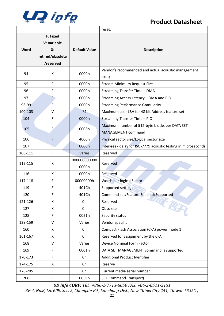

|                                                                               |                    |                       | reset.                                                               |  |  |
|-------------------------------------------------------------------------------|--------------------|-----------------------|----------------------------------------------------------------------|--|--|
| F: Fixed<br>V: Variable<br><b>Word</b><br>Х:<br>retired/obsolete<br>/reserved |                    | <b>Default Value</b>  | <b>Description</b>                                                   |  |  |
| 94                                                                            | X                  | 0000h                 | Vendor's recommended and actual acoustic management<br>value         |  |  |
| 95                                                                            | F                  | 0000h                 | <b>Stream Minimum Request Size</b>                                   |  |  |
| 96                                                                            | F                  | 0000h                 | Streaming Transfer Time - DMA                                        |  |  |
| 97                                                                            | F)                 | 0000h                 | Streaming Access Latency - DMA and PIO                               |  |  |
| 98-99                                                                         | F                  | 0000h                 | <b>Streaming Performance Granularity</b>                             |  |  |
| 100-103                                                                       | $\vee$             | $*4$                  | Maximum user LBA for 48 bit Address feature set                      |  |  |
| 104                                                                           | F                  | 0000h                 | Streaming Transfer Time - PIO                                        |  |  |
| 105                                                                           | F                  | 0008h                 | Maximum number of 512-byte blocks per DATA SET<br>MANAGEMENT command |  |  |
| 106                                                                           | F                  | 4000h                 | Physical sector size/Logical sector size                             |  |  |
| 107                                                                           | F.                 | 0000h                 | Inter-seek delay for ISO-7779 acoustic testing in microseconds       |  |  |
| 108-111                                                                       | F                  | Varies                | Reserved                                                             |  |  |
| X<br>112-115                                                                  |                    | 000000000000<br>0000h | Reserved                                                             |  |  |
| 116                                                                           | $\pmb{\mathsf{X}}$ | 0000h                 | Reserved                                                             |  |  |
| 117-118                                                                       | F<br>00000000h     |                       | Words per logical Sector                                             |  |  |
| F<br>119                                                                      |                    | 401Ch                 | <b>Supported settings</b>                                            |  |  |
| 120                                                                           | 401Ch<br>F         |                       | Command set/Feature Enabled/Supported                                |  |  |
| 121-126                                                                       | X                  |                       | Reserved                                                             |  |  |
| 127                                                                           | X                  | 0h                    | Obsolete                                                             |  |  |
| 128                                                                           | F                  | 0021h                 | Security status                                                      |  |  |
| 129-159                                                                       | V                  | Varies                | Vendor specific                                                      |  |  |
| 160                                                                           | X                  | 0h                    | Compact Flash Association (CFA) power mode 1                         |  |  |
| 161-167                                                                       | X                  | 0h                    | Reserved for assignment by the CFA                                   |  |  |
| 168                                                                           | $\vee$<br>Varies   |                       | Device Nominal Form Factor                                           |  |  |
| 169                                                                           | F<br>0001h         |                       | DATA SET MANAGEMENT command is supported                             |  |  |
| 170-173                                                                       | F                  | 0h                    | <b>Additional Product Identifier</b>                                 |  |  |
| 174-175                                                                       | X                  | 0h                    | Reserve                                                              |  |  |
| 176-205                                                                       | F                  | 0h                    | Current media serial number                                          |  |  |
| 206                                                                           | F<br>0039h         |                       | <b>SCT Command Transport(</b>                                        |  |  |

*UD info CORP. TEL: +886-2-7713-6050 FAX: +86-2-8511-3151*

*3F-4, No.8, Ln. 609, Sec. 5, Chongxin Rd., Sanchong Dist., New Taipei City 241, Taiwan (R.O.C.)*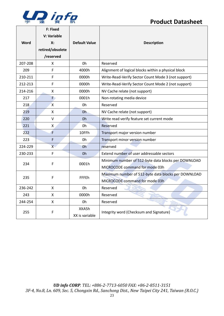

٦

| <b>Word</b>  | F: Fixed<br>V: Variable<br>$X$ :<br>retired/obsolete<br>/reserved | <b>Default Value</b>    | <b>Description</b>                                  |  |  |
|--------------|-------------------------------------------------------------------|-------------------------|-----------------------------------------------------|--|--|
| 207-208      | X                                                                 | 0h                      | Reserved                                            |  |  |
| 209          | F                                                                 | 4000h                   | Alignment of logical blocks within a physical block |  |  |
| 210-211      | F                                                                 | 0000h                   | Write-Read-Verify Sector Count Mode 3 (not support) |  |  |
| 212-213      | F                                                                 | 0000h                   | Write-Read-Verify Sector Count Mode 2 (not support) |  |  |
| 214-216      | X                                                                 | 0000h                   | NV Cache relate (not support)                       |  |  |
| 217          | F                                                                 | 0001h                   | Non-rotating media device                           |  |  |
| 218          | $\mathsf{x}$                                                      | 0h                      | Reserved                                            |  |  |
| 219          | X                                                                 | Oh                      | NV Cache relate (not support)                       |  |  |
| 220          | $\sf V$                                                           | 0h                      | Write read verify feature set current mode          |  |  |
| 221          | $\pmb{\mathsf{X}}$                                                | 0h                      | Reserved                                            |  |  |
| 222          | F                                                                 | 10FFh                   | Transport major version number                      |  |  |
| 223          | F                                                                 | 0h                      | Transport minor version number                      |  |  |
| 224-229      | $\overline{X}$                                                    | Oh                      | reserved                                            |  |  |
| 230-233<br>F |                                                                   | 0h                      | Extend number of user addressable sectors           |  |  |
| 234          | F                                                                 | 0001h                   | Minimum number of 512-byte data blocks per DOWNLOAD |  |  |
|              |                                                                   |                         | MICROCODE command for mode 03h                      |  |  |
| 235          | F                                                                 | FFFEh                   | Maximum number of 512-byte data blocks per DOWNLOAD |  |  |
|              |                                                                   |                         | MICROCODE command for mode 03h                      |  |  |
| 236-242      | X                                                                 | 0h                      | Reserved                                            |  |  |
| 243          | $\pmb{\mathsf{X}}$                                                | 0000h                   | Reserved                                            |  |  |
| 244-254      | X                                                                 | 0h                      | Reserved                                            |  |  |
| 255          | F                                                                 | XXA5h<br>XX is variable | Integrity word (Checksum and Signature)             |  |  |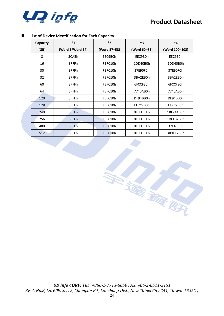



#### ◼ **List of Device Identification for Each Capacity**

| Capacity | $*_{1}$          | $*_{2}$      | $*_{3}$           | $*_{4}$                                                                            |  |  |
|----------|------------------|--------------|-------------------|------------------------------------------------------------------------------------|--|--|
| (GB)     | (Word 1/Word 54) | (Word 57-58) | (Word 60-61)      | (Word 100-103)                                                                     |  |  |
| 8        | 3CA5h            | EEC9B0h      | EEC9B0h           | EEC9B0h<br>1DD40B0h<br>37E90F0h                                                    |  |  |
| 16       | 3FFFh            | FBFC10h      | 1DD40B0h          |                                                                                    |  |  |
| 30       | 3FFFh            | FBFC10h      | 37E90F0h          |                                                                                    |  |  |
| 32       | 3FFFh            | FBFC10h      | 3BA2EB0h          | 3BA2EB0h                                                                           |  |  |
| 60       | 3FFFh            | FBFC10h      | 6FCCF30h          | 6FCCF30h<br>7740AB0h<br>DF94BB0h<br>EE7C2B0h<br>1BF244B0h<br>1DCF32B0h<br>37E436B0 |  |  |
| 64       | 3FFFh            | FBFC10h      | 7740AB0h          |                                                                                    |  |  |
| 120      | 3FFFh            | FBFC10h      | DF94BB0h          |                                                                                    |  |  |
| 128      | 3FFFh            | FBFC10h      | EE7C2B0h          |                                                                                    |  |  |
| 240      | 3FFFh            | FBFC10h      | <b>OFFFFFFFFh</b> |                                                                                    |  |  |
| 256      | 3FFFh            | FBFC10h      | OFFFFFFFh         |                                                                                    |  |  |
| 480      | 3FFFh            | FBFC10h      | <b>OFFFFFFFFh</b> |                                                                                    |  |  |
| 512      | 3FFFh            | FBFC10h      | <b>OFFFFFFFFh</b> | 3B9E12B0h                                                                          |  |  |

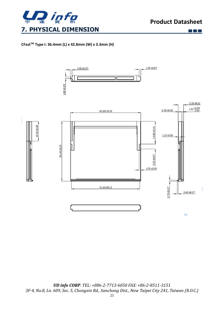

 $\Box$   $\Box$ 

#### <span id="page-24-0"></span>**CFastTM Type I: 36.4mm (L) x 42.8mm (W) x 3.3mm (H)**

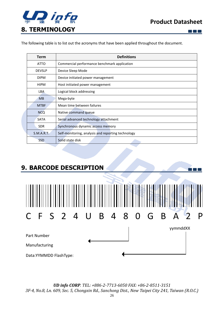

 $\Box$   $\Box$   $\Box$ 

n in h

<span id="page-25-0"></span>The following table is to list out the acronyms that have been applied throughout the document.

| <b>Term</b>                                                      | <b>Definitions</b>                           |  |  |
|------------------------------------------------------------------|----------------------------------------------|--|--|
| <b>ATTO</b>                                                      | Commercial performance benchmark application |  |  |
| <b>DEVSLP</b>                                                    | Device Sleep Mode                            |  |  |
| <b>DIPM</b>                                                      | Device initiated power management            |  |  |
| <b>HIPM</b>                                                      | Host initiated power management              |  |  |
| <b>LBA</b>                                                       | Logical block addressing                     |  |  |
| <b>MB</b>                                                        | Mega-byte                                    |  |  |
| <b>MTBF</b>                                                      | Mean time between failures                   |  |  |
| <b>NCQ</b>                                                       | Native command queue                         |  |  |
| <b>SATA</b><br>Serial advanced technology attachment             |                                              |  |  |
| Synchronous dynamic access memory<br><b>SDR</b>                  |                                              |  |  |
| S.M.A.R.T.<br>Self-monitoring, analysis and reporting technology |                                              |  |  |
| <b>SSD</b>                                                       | Solid state disk                             |  |  |

## <span id="page-25-1"></span>**9. BARCODE DESCRIPTION**